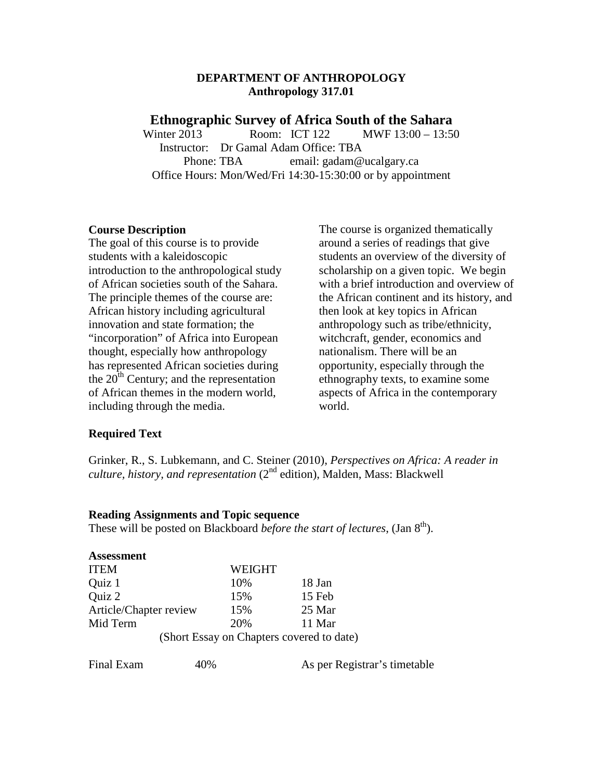#### **DEPARTMENT OF ANTHROPOLOGY Anthropology 317.01**

#### **Ethnographic Survey of Africa South of the Sahara**

Winter 2013 **Room: ICT 122 MWF 13:00 – 13:50** Instructor: Dr Gamal Adam Office: TBA Phone: TBA email: gadam@ucalgary.ca Office Hours: Mon/Wed/Fri 14:30-15:30:00 or by appointment

#### **Course Description**

The goal of this course is to provide students with a kaleidoscopic introduction to the anthropological study of African societies south of the Sahara. The principle themes of the course are: African history including agricultural innovation and state formation; the "incorporation" of Africa into European thought, especially how anthropology has represented African societies during the  $20<sup>th</sup>$  Century; and the representation of African themes in the modern world, including through the media.

The course is organized thematically around a series of readings that give students an overview of the diversity of scholarship on a given topic. We begin with a brief introduction and overview of the African continent and its history, and then look at key topics in African anthropology such as tribe/ethnicity, witchcraft, gender, economics and nationalism. There will be an opportunity, especially through the ethnography texts, to examine some aspects of Africa in the contemporary world.

#### **Required Text**

Grinker, R., S. Lubkemann, and C. Steiner (2010), *Perspectives on Africa: A reader in culture, history, and representation* (2nd edition), Malden, Mass: Blackwell

#### **Reading Assignments and Topic sequence**

These will be posted on Blackboard *before the start of lectures*, (Jan 8<sup>th</sup>).

| <b>Assessment</b>      |        |                                           |
|------------------------|--------|-------------------------------------------|
| <b>ITEM</b>            | WEIGHT |                                           |
| Quiz 1                 | 10%    | 18 Jan                                    |
| Quiz 2                 | 15%    | 15 Feb                                    |
| Article/Chapter review | 15%    | 25 Mar                                    |
| Mid Term               | 20%    | 11 Mar                                    |
|                        |        | (Short Essay on Chapters covered to date) |

Final Exam 40% As per Registrar's timetable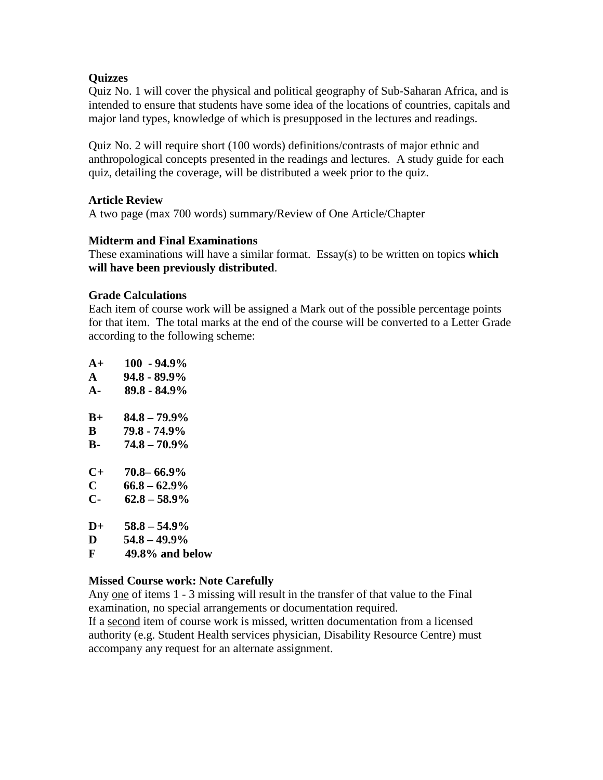## **Quizzes**

Quiz No. 1 will cover the physical and political geography of Sub-Saharan Africa, and is intended to ensure that students have some idea of the locations of countries, capitals and major land types, knowledge of which is presupposed in the lectures and readings.

Quiz No. 2 will require short (100 words) definitions/contrasts of major ethnic and anthropological concepts presented in the readings and lectures. A study guide for each quiz, detailing the coverage, will be distributed a week prior to the quiz.

### **Article Review**

A two page (max 700 words) summary/Review of One Article/Chapter

### **Midterm and Final Examinations**

These examinations will have a similar format. Essay(s) to be written on topics **which will have been previously distributed**.

#### **Grade Calculations**

Each item of course work will be assigned a Mark out of the possible percentage points for that item. The total marks at the end of the course will be converted to a Letter Grade according to the following scheme:

| $A+$          | $100 - 94.9\%$  |
|---------------|-----------------|
| ${\bf A}$     | $94.8 - 89.9\%$ |
| $A -$         | 89.8 - 84.9%    |
| $B+$          | $84.8 - 79.9\%$ |
| B             | 79.8 - 74.9%    |
| В-            | $74.8 - 70.9\%$ |
| $C+$          | $70.8 - 66.9\%$ |
| $\mathbf C$   | $66.8 - 62.9\%$ |
| $C-$          | $62.8 - 58.9\%$ |
| $\mathbf{D}+$ | $58.8 - 54.9\%$ |
| D             | $54.8 - 49.9\%$ |
| F             | 49.8% and below |

### **Missed Course work: Note Carefully**

Any one of items 1 - 3 missing will result in the transfer of that value to the Final examination, no special arrangements or documentation required.

If a second item of course work is missed, written documentation from a licensed authority (e.g. Student Health services physician, Disability Resource Centre) must accompany any request for an alternate assignment.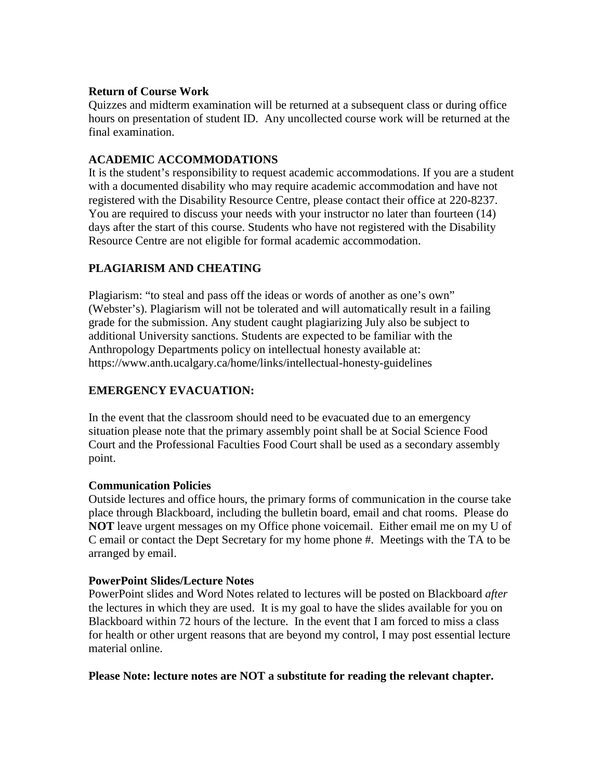## **Return of Course Work**

Quizzes and midterm examination will be returned at a subsequent class or during office hours on presentation of student ID. Any uncollected course work will be returned at the final examination.

# **ACADEMIC ACCOMMODATIONS**

It is the student's responsibility to request academic accommodations. If you are a student with a documented disability who may require academic accommodation and have not registered with the Disability Resource Centre, please contact their office at 220-8237. You are required to discuss your needs with your instructor no later than fourteen (14) days after the start of this course. Students who have not registered with the Disability Resource Centre are not eligible for formal academic accommodation.

# **PLAGIARISM AND CHEATING**

Plagiarism: "to steal and pass off the ideas or words of another as one's own" (Webster's). Plagiarism will not be tolerated and will automatically result in a failing grade for the submission. Any student caught plagiarizing July also be subject to additional University sanctions. Students are expected to be familiar with the Anthropology Departments policy on intellectual honesty available at: https://www.anth.ucalgary.ca/home/links/intellectual-honesty-guidelines

# **EMERGENCY EVACUATION:**

In the event that the classroom should need to be evacuated due to an emergency situation please note that the primary assembly point shall be at Social Science Food Court and the Professional Faculties Food Court shall be used as a secondary assembly point.

# **Communication Policies**

Outside lectures and office hours, the primary forms of communication in the course take place through Blackboard, including the bulletin board, email and chat rooms. Please do **NOT** leave urgent messages on my Office phone voicemail. Either email me on my U of C email or contact the Dept Secretary for my home phone #. Meetings with the TA to be arranged by email.

### **PowerPoint Slides/Lecture Notes**

PowerPoint slides and Word Notes related to lectures will be posted on Blackboard *after* the lectures in which they are used. It is my goal to have the slides available for you on Blackboard within 72 hours of the lecture. In the event that I am forced to miss a class for health or other urgent reasons that are beyond my control, I may post essential lecture material online.

### **Please Note: lecture notes are NOT a substitute for reading the relevant chapter.**